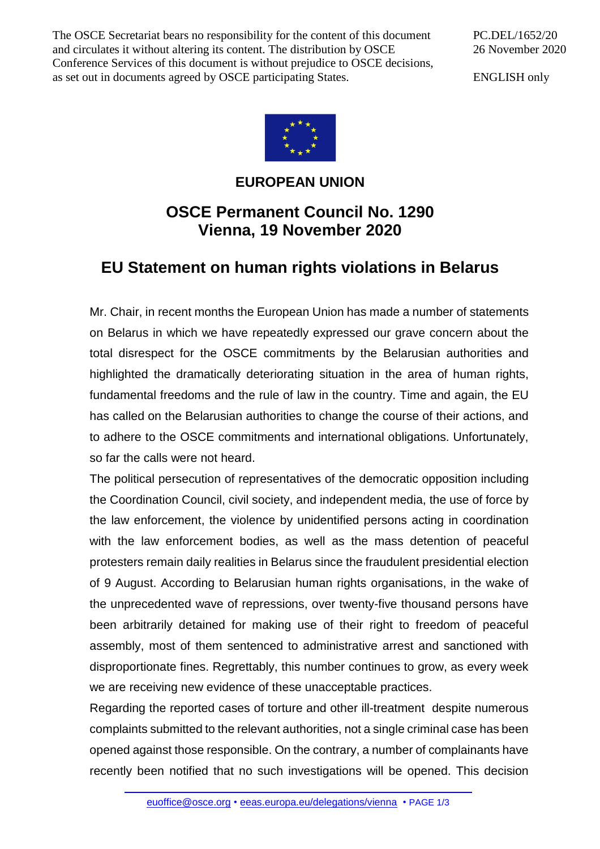The OSCE Secretariat bears no responsibility for the content of this document and circulates it without altering its content. The distribution by OSCE Conference Services of this document is without prejudice to OSCE decisions, as set out in documents agreed by OSCE participating States.

PC.DEL/1652/20 26 November 2020

ENGLISH only



## **EUROPEAN UNION**

## **OSCE Permanent Council No. 1290 Vienna, 19 November 2020**

## **EU Statement on human rights violations in Belarus**

Mr. Chair, in recent months the European Union has made a number of statements on Belarus in which we have repeatedly expressed our grave concern about the total disrespect for the OSCE commitments by the Belarusian authorities and highlighted the dramatically deteriorating situation in the area of human rights, fundamental freedoms and the rule of law in the country. Time and again, the EU has called on the Belarusian authorities to change the course of their actions, and to adhere to the OSCE commitments and international obligations. Unfortunately, so far the calls were not heard.

The political persecution of representatives of the democratic opposition including the Coordination Council, civil society, and independent media, the use of force by the law enforcement, the violence by unidentified persons acting in coordination with the law enforcement bodies, as well as the mass detention of peaceful protesters remain daily realities in Belarus since the fraudulent presidential election of 9 August. According to Belarusian human rights organisations, in the wake of the unprecedented wave of repressions, over twenty-five thousand persons have been arbitrarily detained for making use of their right to freedom of peaceful assembly, most of them sentenced to administrative arrest and sanctioned with disproportionate fines. Regrettably, this number continues to grow, as every week we are receiving new evidence of these unacceptable practices.

Regarding the reported cases of torture and other ill-treatment despite numerous complaints submitted to the relevant authorities, not a single criminal case has been opened against those responsible. On the contrary, a number of complainants have recently been notified that no such investigations will be opened. This decision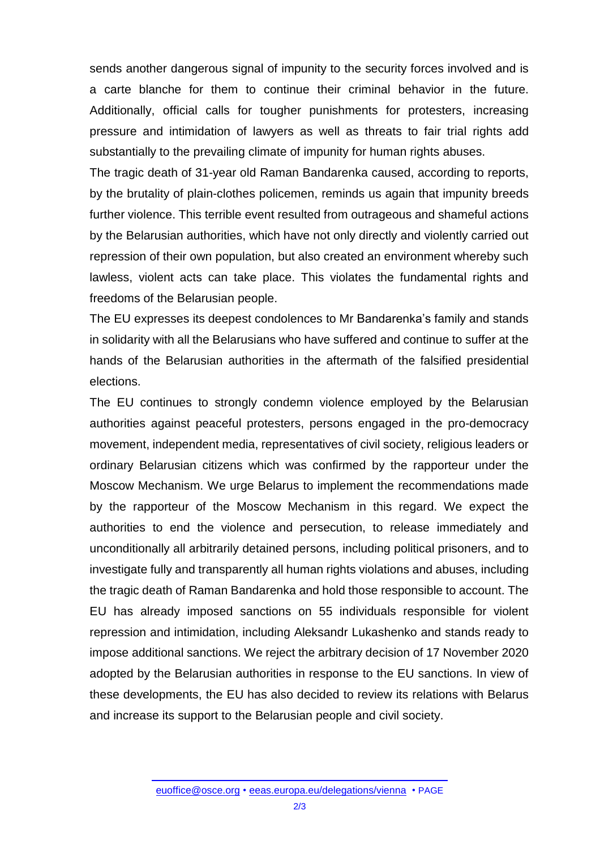sends another dangerous signal of impunity to the security forces involved and is a carte blanche for them to continue their criminal behavior in the future. Additionally, official calls for tougher punishments for protesters, increasing pressure and intimidation of lawyers as well as threats to fair trial rights add substantially to the prevailing climate of impunity for human rights abuses.

The tragic death of 31-year old Raman Bandarenka caused, according to reports, by the brutality of plain-clothes policemen, reminds us again that impunity breeds further violence. This terrible event resulted from outrageous and shameful actions by the Belarusian authorities, which have not only directly and violently carried out repression of their own population, but also created an environment whereby such lawless, violent acts can take place. This violates the fundamental rights and freedoms of the Belarusian people.

The EU expresses its deepest condolences to Mr Bandarenka's family and stands in solidarity with all the Belarusians who have suffered and continue to suffer at the hands of the Belarusian authorities in the aftermath of the falsified presidential elections.

The EU continues to strongly condemn violence employed by the Belarusian authorities against peaceful protesters, persons engaged in the pro-democracy movement, independent media, representatives of civil society, religious leaders or ordinary Belarusian citizens which was confirmed by the rapporteur under the Moscow Mechanism. We urge Belarus to implement the recommendations made by the rapporteur of the Moscow Mechanism in this regard. We expect the authorities to end the violence and persecution, to release immediately and unconditionally all arbitrarily detained persons, including political prisoners, and to investigate fully and transparently all human rights violations and abuses, including the tragic death of Raman Bandarenka and hold those responsible to account. The EU has already imposed sanctions on 55 individuals responsible for violent repression and intimidation, including Aleksandr Lukashenko and stands ready to impose additional sanctions. We reject the arbitrary decision of 17 November 2020 adopted by the Belarusian authorities in response to the EU sanctions. In view of these developments, the EU has also decided to review its relations with Belarus and increase its support to the Belarusian people and civil society.